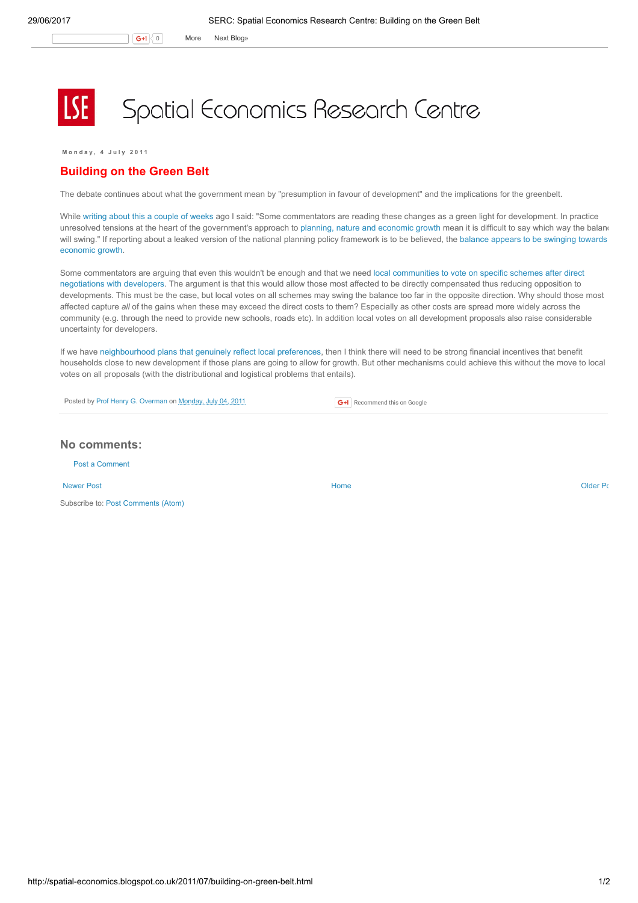$G+1$  0 More Next [Blog»](https://www.blogger.com/next-blog?navBar=true&blogID=974562301377041914)

## Spatial Economics Research Centre

M o n d a v , 4 J u l v 2011

## Building on the Green Belt

The debate continues about what the government mean by "presumption in favour of development" and the implications for the greenbelt.

While writing about this a [couple](http://spatial-economics.blogspot.com/2011/06/sustainable-development-and-local-plans.html) of weeks ago I said: "Some commentators are reading these changes as a green light for development. In practice unresolved tensions at the heart of the government's approach to planning, nature and [economic](http://spatial-economics.blogspot.com/2011/06/plannning-nature-and-growth-unresolved.html) growth mean it is difficult to say which way the baland will swing." If reporting about a leaked version of the national planning policy [framework](http://www.localgov.co.uk/index.cfm?method=news.detail&id=100591) is to be believed, the balance appears to be swinging towards economic growth.

Some [commentators](http://blogs.telegraph.co.uk/news/neilobrien1/100095085/let-people-vote-on-the-fate-of-the-green-belt/) are arguing that even this wouldn't be enough and that we need local communities to vote on specific schemes after direct negotiations with developers. The argument is that this would allow those most affected to be directly compensated thus reducing opposition to developments. This must be the case, but local votes on all schemes may swing the balance too far in the opposite direction. Why should those most affected capture all of the gains when these may exceed the direct costs to them? Especially as other costs are spread more widely across the community (e.g. through the need to provide new schools, roads etc). In addition local votes on all development proposals also raise considerable uncertainty for developers.

If we have [neighbourhood](http://spatial-economics.blogspot.com/2011/04/planning-localism-versus-growth.html) plans that genuinely reflect local preferences, then I think there will need to be strong financial incentives that benefit households close to new development if those plans are going to allow for growth. But other mechanisms could achieve this without the move to local votes on all proposals (with the distributional and logistical problems that entails).

Posted by Prof Henry G. [Overman](https://www.blogger.com/profile/15203876610491317062) on [Monday,](http://spatial-economics.blogspot.co.uk/2011/07/building-on-green-belt.html) July 04, 2011

**G+1** Recommend this on Google

## No comments:

Post a [Comment](https://www.blogger.com/comment.g?blogID=974562301377041914&postID=6689464785233869005)

[Newer](http://spatial-economics.blogspot.co.uk/2011/07/open-evaluation-and-future-of-evidence.html) Post **New Account Contract Account Contract Account Contract Account Contract Account Contract [Older](http://spatial-economics.blogspot.co.uk/2011/07/productivity-every-little-helps.html) Post** 

Subscribe to: Post [Comments](http://spatial-economics.blogspot.com/feeds/6689464785233869005/comments/default) (Atom)